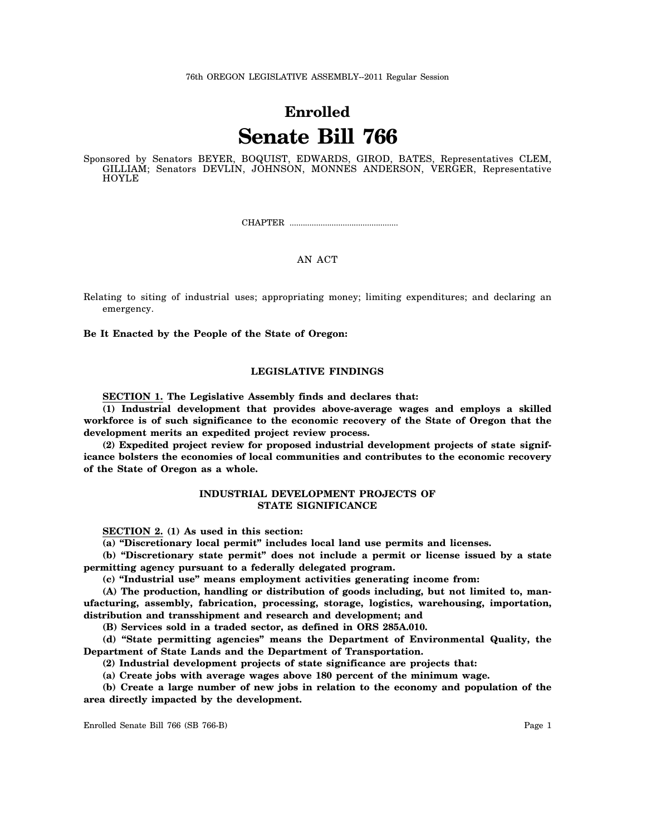# **Enrolled Senate Bill 766**

Sponsored by Senators BEYER, BOQUIST, EDWARDS, GIROD, BATES, Representatives CLEM, GILLIAM; Senators DEVLIN, JOHNSON, MONNES ANDERSON, VERGER, Representative HOYLE

CHAPTER .................................................

## AN ACT

Relating to siting of industrial uses; appropriating money; limiting expenditures; and declaring an emergency.

**Be It Enacted by the People of the State of Oregon:**

# **LEGISLATIVE FINDINGS**

**SECTION 1. The Legislative Assembly finds and declares that:**

**(1) Industrial development that provides above-average wages and employs a skilled workforce is of such significance to the economic recovery of the State of Oregon that the development merits an expedited project review process.**

**(2) Expedited project review for proposed industrial development projects of state significance bolsters the economies of local communities and contributes to the economic recovery of the State of Oregon as a whole.**

## **INDUSTRIAL DEVELOPMENT PROJECTS OF STATE SIGNIFICANCE**

**SECTION 2. (1) As used in this section:**

**(a) "Discretionary local permit" includes local land use permits and licenses.**

**(b) "Discretionary state permit" does not include a permit or license issued by a state permitting agency pursuant to a federally delegated program.**

**(c) "Industrial use" means employment activities generating income from:**

**(A) The production, handling or distribution of goods including, but not limited to, manufacturing, assembly, fabrication, processing, storage, logistics, warehousing, importation, distribution and transshipment and research and development; and**

**(B) Services sold in a traded sector, as defined in ORS 285A.010.**

**(d) "State permitting agencies" means the Department of Environmental Quality, the Department of State Lands and the Department of Transportation.**

**(2) Industrial development projects of state significance are projects that:**

**(a) Create jobs with average wages above 180 percent of the minimum wage.**

**(b) Create a large number of new jobs in relation to the economy and population of the area directly impacted by the development.**

Enrolled Senate Bill 766 (SB 766-B) Page 1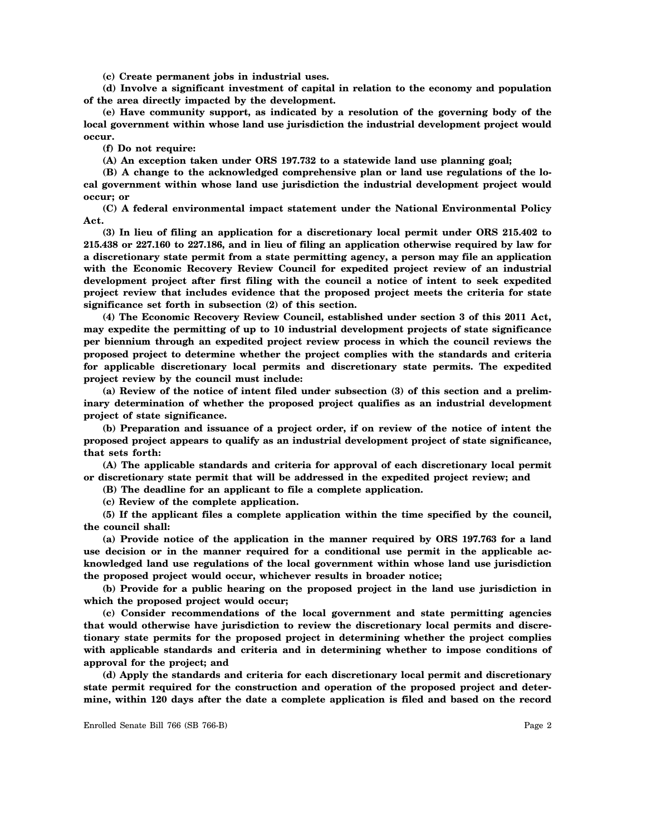**(c) Create permanent jobs in industrial uses.**

**(d) Involve a significant investment of capital in relation to the economy and population of the area directly impacted by the development.**

**(e) Have community support, as indicated by a resolution of the governing body of the local government within whose land use jurisdiction the industrial development project would occur.**

**(f) Do not require:**

**(A) An exception taken under ORS 197.732 to a statewide land use planning goal;**

**(B) A change to the acknowledged comprehensive plan or land use regulations of the local government within whose land use jurisdiction the industrial development project would occur; or**

**(C) A federal environmental impact statement under the National Environmental Policy Act.**

**(3) In lieu of filing an application for a discretionary local permit under ORS 215.402 to 215.438 or 227.160 to 227.186, and in lieu of filing an application otherwise required by law for a discretionary state permit from a state permitting agency, a person may file an application with the Economic Recovery Review Council for expedited project review of an industrial development project after first filing with the council a notice of intent to seek expedited project review that includes evidence that the proposed project meets the criteria for state significance set forth in subsection (2) of this section.**

**(4) The Economic Recovery Review Council, established under section 3 of this 2011 Act, may expedite the permitting of up to 10 industrial development projects of state significance per biennium through an expedited project review process in which the council reviews the proposed project to determine whether the project complies with the standards and criteria for applicable discretionary local permits and discretionary state permits. The expedited project review by the council must include:**

**(a) Review of the notice of intent filed under subsection (3) of this section and a preliminary determination of whether the proposed project qualifies as an industrial development project of state significance.**

**(b) Preparation and issuance of a project order, if on review of the notice of intent the proposed project appears to qualify as an industrial development project of state significance, that sets forth:**

**(A) The applicable standards and criteria for approval of each discretionary local permit or discretionary state permit that will be addressed in the expedited project review; and**

**(B) The deadline for an applicant to file a complete application.**

**(c) Review of the complete application.**

**(5) If the applicant files a complete application within the time specified by the council, the council shall:**

**(a) Provide notice of the application in the manner required by ORS 197.763 for a land use decision or in the manner required for a conditional use permit in the applicable acknowledged land use regulations of the local government within whose land use jurisdiction the proposed project would occur, whichever results in broader notice;**

**(b) Provide for a public hearing on the proposed project in the land use jurisdiction in which the proposed project would occur;**

**(c) Consider recommendations of the local government and state permitting agencies that would otherwise have jurisdiction to review the discretionary local permits and discretionary state permits for the proposed project in determining whether the project complies with applicable standards and criteria and in determining whether to impose conditions of approval for the project; and**

**(d) Apply the standards and criteria for each discretionary local permit and discretionary state permit required for the construction and operation of the proposed project and determine, within 120 days after the date a complete application is filed and based on the record**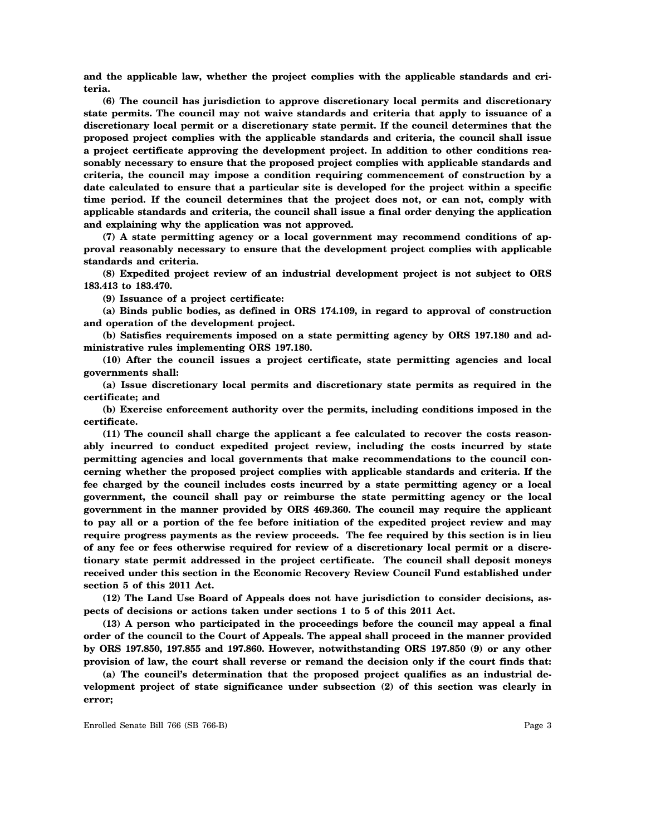**and the applicable law, whether the project complies with the applicable standards and criteria.**

**(6) The council has jurisdiction to approve discretionary local permits and discretionary state permits. The council may not waive standards and criteria that apply to issuance of a discretionary local permit or a discretionary state permit. If the council determines that the proposed project complies with the applicable standards and criteria, the council shall issue a project certificate approving the development project. In addition to other conditions reasonably necessary to ensure that the proposed project complies with applicable standards and criteria, the council may impose a condition requiring commencement of construction by a date calculated to ensure that a particular site is developed for the project within a specific time period. If the council determines that the project does not, or can not, comply with applicable standards and criteria, the council shall issue a final order denying the application and explaining why the application was not approved.**

**(7) A state permitting agency or a local government may recommend conditions of approval reasonably necessary to ensure that the development project complies with applicable standards and criteria.**

**(8) Expedited project review of an industrial development project is not subject to ORS 183.413 to 183.470.**

**(9) Issuance of a project certificate:**

**(a) Binds public bodies, as defined in ORS 174.109, in regard to approval of construction and operation of the development project.**

**(b) Satisfies requirements imposed on a state permitting agency by ORS 197.180 and administrative rules implementing ORS 197.180.**

**(10) After the council issues a project certificate, state permitting agencies and local governments shall:**

**(a) Issue discretionary local permits and discretionary state permits as required in the certificate; and**

**(b) Exercise enforcement authority over the permits, including conditions imposed in the certificate.**

**(11) The council shall charge the applicant a fee calculated to recover the costs reasonably incurred to conduct expedited project review, including the costs incurred by state permitting agencies and local governments that make recommendations to the council concerning whether the proposed project complies with applicable standards and criteria. If the fee charged by the council includes costs incurred by a state permitting agency or a local government, the council shall pay or reimburse the state permitting agency or the local government in the manner provided by ORS 469.360. The council may require the applicant to pay all or a portion of the fee before initiation of the expedited project review and may require progress payments as the review proceeds. The fee required by this section is in lieu of any fee or fees otherwise required for review of a discretionary local permit or a discretionary state permit addressed in the project certificate. The council shall deposit moneys received under this section in the Economic Recovery Review Council Fund established under section 5 of this 2011 Act.**

**(12) The Land Use Board of Appeals does not have jurisdiction to consider decisions, aspects of decisions or actions taken under sections 1 to 5 of this 2011 Act.**

**(13) A person who participated in the proceedings before the council may appeal a final order of the council to the Court of Appeals. The appeal shall proceed in the manner provided by ORS 197.850, 197.855 and 197.860. However, notwithstanding ORS 197.850 (9) or any other provision of law, the court shall reverse or remand the decision only if the court finds that:**

**(a) The council's determination that the proposed project qualifies as an industrial development project of state significance under subsection (2) of this section was clearly in error;**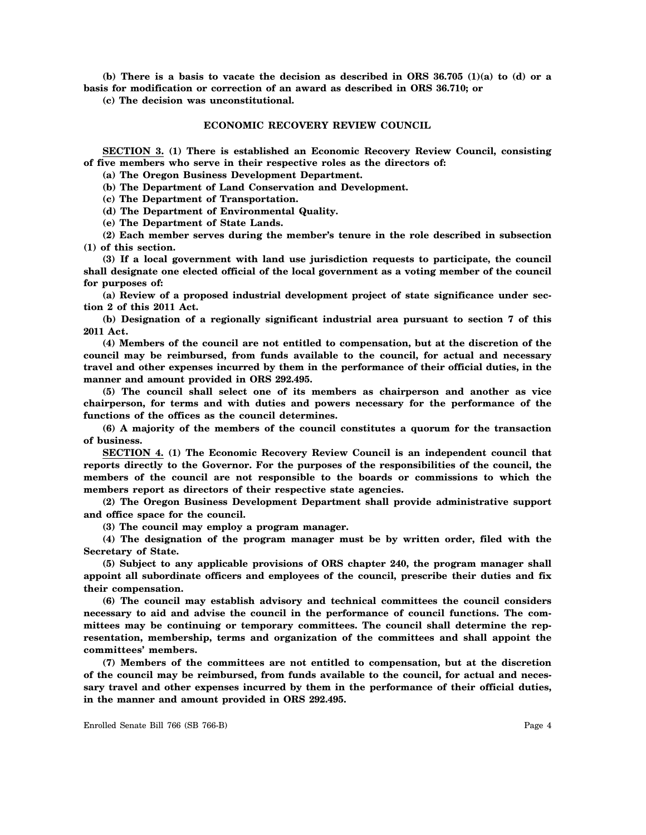**(b) There is a basis to vacate the decision as described in ORS 36.705 (1)(a) to (d) or a basis for modification or correction of an award as described in ORS 36.710; or**

**(c) The decision was unconstitutional.**

#### **ECONOMIC RECOVERY REVIEW COUNCIL**

**SECTION 3. (1) There is established an Economic Recovery Review Council, consisting of five members who serve in their respective roles as the directors of:**

**(a) The Oregon Business Development Department.**

**(b) The Department of Land Conservation and Development.**

**(c) The Department of Transportation.**

**(d) The Department of Environmental Quality.**

**(e) The Department of State Lands.**

**(2) Each member serves during the member's tenure in the role described in subsection (1) of this section.**

**(3) If a local government with land use jurisdiction requests to participate, the council shall designate one elected official of the local government as a voting member of the council for purposes of:**

**(a) Review of a proposed industrial development project of state significance under section 2 of this 2011 Act.**

**(b) Designation of a regionally significant industrial area pursuant to section 7 of this 2011 Act.**

**(4) Members of the council are not entitled to compensation, but at the discretion of the council may be reimbursed, from funds available to the council, for actual and necessary travel and other expenses incurred by them in the performance of their official duties, in the manner and amount provided in ORS 292.495.**

**(5) The council shall select one of its members as chairperson and another as vice chairperson, for terms and with duties and powers necessary for the performance of the functions of the offices as the council determines.**

**(6) A majority of the members of the council constitutes a quorum for the transaction of business.**

**SECTION 4. (1) The Economic Recovery Review Council is an independent council that reports directly to the Governor. For the purposes of the responsibilities of the council, the members of the council are not responsible to the boards or commissions to which the members report as directors of their respective state agencies.**

**(2) The Oregon Business Development Department shall provide administrative support and office space for the council.**

**(3) The council may employ a program manager.**

**(4) The designation of the program manager must be by written order, filed with the Secretary of State.**

**(5) Subject to any applicable provisions of ORS chapter 240, the program manager shall appoint all subordinate officers and employees of the council, prescribe their duties and fix their compensation.**

**(6) The council may establish advisory and technical committees the council considers necessary to aid and advise the council in the performance of council functions. The committees may be continuing or temporary committees. The council shall determine the representation, membership, terms and organization of the committees and shall appoint the committees' members.**

**(7) Members of the committees are not entitled to compensation, but at the discretion of the council may be reimbursed, from funds available to the council, for actual and necessary travel and other expenses incurred by them in the performance of their official duties, in the manner and amount provided in ORS 292.495.**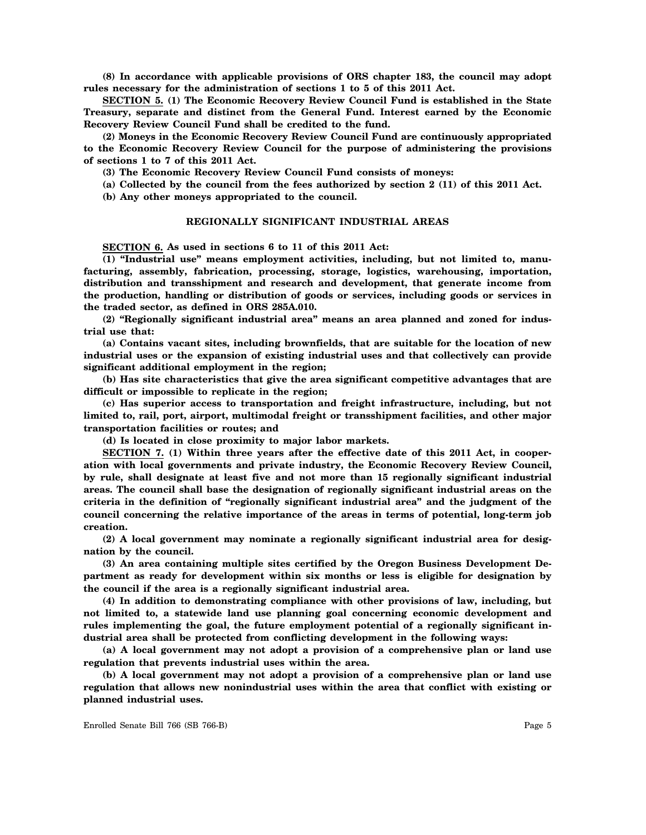**(8) In accordance with applicable provisions of ORS chapter 183, the council may adopt rules necessary for the administration of sections 1 to 5 of this 2011 Act.**

**SECTION 5. (1) The Economic Recovery Review Council Fund is established in the State Treasury, separate and distinct from the General Fund. Interest earned by the Economic Recovery Review Council Fund shall be credited to the fund.**

**(2) Moneys in the Economic Recovery Review Council Fund are continuously appropriated to the Economic Recovery Review Council for the purpose of administering the provisions of sections 1 to 7 of this 2011 Act.**

**(3) The Economic Recovery Review Council Fund consists of moneys:**

**(a) Collected by the council from the fees authorized by section 2 (11) of this 2011 Act.**

**(b) Any other moneys appropriated to the council.**

#### **REGIONALLY SIGNIFICANT INDUSTRIAL AREAS**

**SECTION 6. As used in sections 6 to 11 of this 2011 Act:**

**(1) "Industrial use" means employment activities, including, but not limited to, manufacturing, assembly, fabrication, processing, storage, logistics, warehousing, importation, distribution and transshipment and research and development, that generate income from the production, handling or distribution of goods or services, including goods or services in the traded sector, as defined in ORS 285A.010.**

**(2) "Regionally significant industrial area" means an area planned and zoned for industrial use that:**

**(a) Contains vacant sites, including brownfields, that are suitable for the location of new industrial uses or the expansion of existing industrial uses and that collectively can provide significant additional employment in the region;**

**(b) Has site characteristics that give the area significant competitive advantages that are difficult or impossible to replicate in the region;**

**(c) Has superior access to transportation and freight infrastructure, including, but not limited to, rail, port, airport, multimodal freight or transshipment facilities, and other major transportation facilities or routes; and**

**(d) Is located in close proximity to major labor markets.**

**SECTION 7. (1) Within three years after the effective date of this 2011 Act, in cooperation with local governments and private industry, the Economic Recovery Review Council, by rule, shall designate at least five and not more than 15 regionally significant industrial areas. The council shall base the designation of regionally significant industrial areas on the criteria in the definition of "regionally significant industrial area" and the judgment of the council concerning the relative importance of the areas in terms of potential, long-term job creation.**

**(2) A local government may nominate a regionally significant industrial area for designation by the council.**

**(3) An area containing multiple sites certified by the Oregon Business Development Department as ready for development within six months or less is eligible for designation by the council if the area is a regionally significant industrial area.**

**(4) In addition to demonstrating compliance with other provisions of law, including, but not limited to, a statewide land use planning goal concerning economic development and rules implementing the goal, the future employment potential of a regionally significant industrial area shall be protected from conflicting development in the following ways:**

**(a) A local government may not adopt a provision of a comprehensive plan or land use regulation that prevents industrial uses within the area.**

**(b) A local government may not adopt a provision of a comprehensive plan or land use regulation that allows new nonindustrial uses within the area that conflict with existing or planned industrial uses.**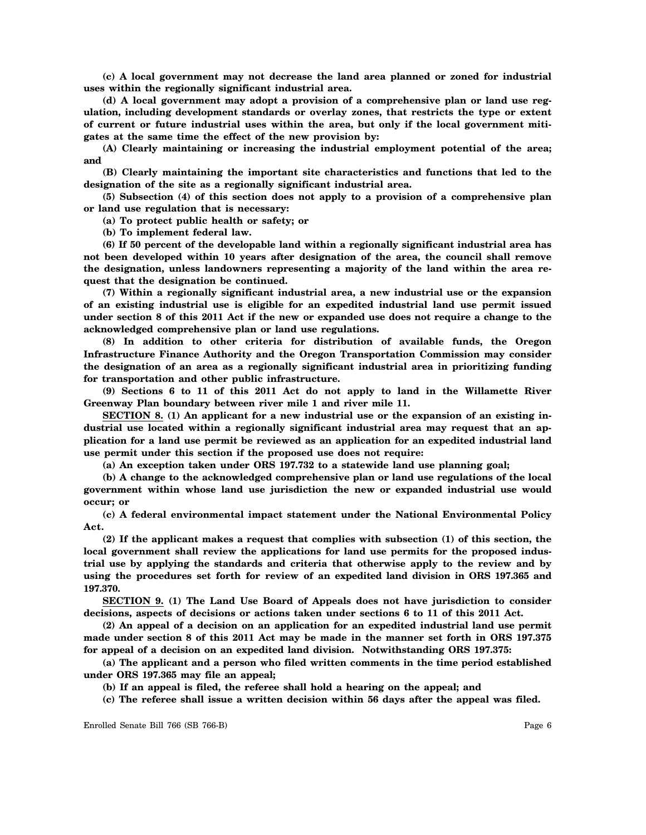**(c) A local government may not decrease the land area planned or zoned for industrial uses within the regionally significant industrial area.**

**(d) A local government may adopt a provision of a comprehensive plan or land use regulation, including development standards or overlay zones, that restricts the type or extent of current or future industrial uses within the area, but only if the local government mitigates at the same time the effect of the new provision by:**

**(A) Clearly maintaining or increasing the industrial employment potential of the area; and**

**(B) Clearly maintaining the important site characteristics and functions that led to the designation of the site as a regionally significant industrial area.**

**(5) Subsection (4) of this section does not apply to a provision of a comprehensive plan or land use regulation that is necessary:**

**(a) To protect public health or safety; or**

**(b) To implement federal law.**

**(6) If 50 percent of the developable land within a regionally significant industrial area has not been developed within 10 years after designation of the area, the council shall remove the designation, unless landowners representing a majority of the land within the area request that the designation be continued.**

**(7) Within a regionally significant industrial area, a new industrial use or the expansion of an existing industrial use is eligible for an expedited industrial land use permit issued under section 8 of this 2011 Act if the new or expanded use does not require a change to the acknowledged comprehensive plan or land use regulations.**

**(8) In addition to other criteria for distribution of available funds, the Oregon Infrastructure Finance Authority and the Oregon Transportation Commission may consider the designation of an area as a regionally significant industrial area in prioritizing funding for transportation and other public infrastructure.**

**(9) Sections 6 to 11 of this 2011 Act do not apply to land in the Willamette River Greenway Plan boundary between river mile 1 and river mile 11.**

**SECTION 8. (1) An applicant for a new industrial use or the expansion of an existing industrial use located within a regionally significant industrial area may request that an application for a land use permit be reviewed as an application for an expedited industrial land use permit under this section if the proposed use does not require:**

**(a) An exception taken under ORS 197.732 to a statewide land use planning goal;**

**(b) A change to the acknowledged comprehensive plan or land use regulations of the local government within whose land use jurisdiction the new or expanded industrial use would occur; or**

**(c) A federal environmental impact statement under the National Environmental Policy Act.**

**(2) If the applicant makes a request that complies with subsection (1) of this section, the local government shall review the applications for land use permits for the proposed industrial use by applying the standards and criteria that otherwise apply to the review and by using the procedures set forth for review of an expedited land division in ORS 197.365 and 197.370.**

**SECTION 9. (1) The Land Use Board of Appeals does not have jurisdiction to consider decisions, aspects of decisions or actions taken under sections 6 to 11 of this 2011 Act.**

**(2) An appeal of a decision on an application for an expedited industrial land use permit made under section 8 of this 2011 Act may be made in the manner set forth in ORS 197.375 for appeal of a decision on an expedited land division. Notwithstanding ORS 197.375:**

**(a) The applicant and a person who filed written comments in the time period established under ORS 197.365 may file an appeal;**

**(b) If an appeal is filed, the referee shall hold a hearing on the appeal; and**

**(c) The referee shall issue a written decision within 56 days after the appeal was filed.**

Enrolled Senate Bill 766 (SB 766-B) Page 6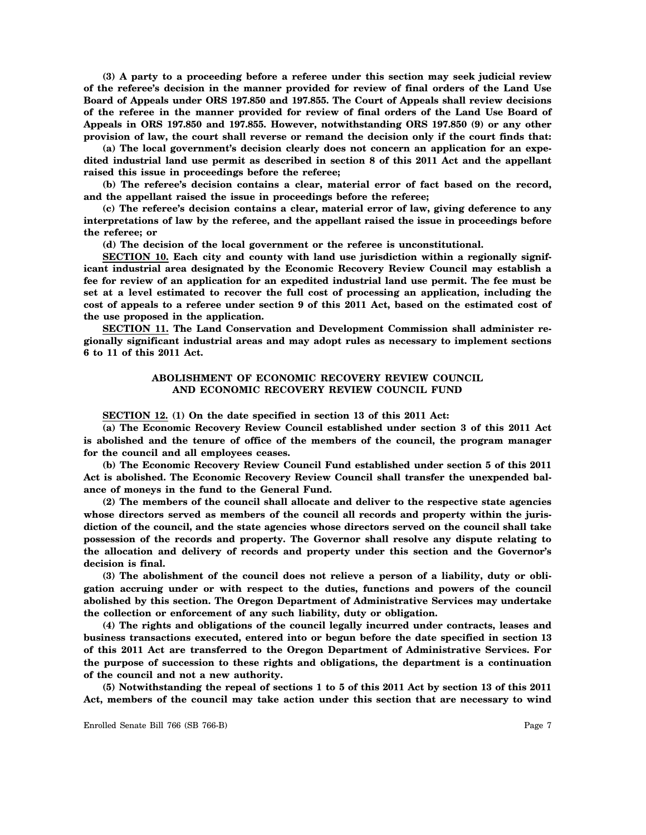**(3) A party to a proceeding before a referee under this section may seek judicial review of the referee's decision in the manner provided for review of final orders of the Land Use Board of Appeals under ORS 197.850 and 197.855. The Court of Appeals shall review decisions of the referee in the manner provided for review of final orders of the Land Use Board of Appeals in ORS 197.850 and 197.855. However, notwithstanding ORS 197.850 (9) or any other provision of law, the court shall reverse or remand the decision only if the court finds that:**

**(a) The local government's decision clearly does not concern an application for an expedited industrial land use permit as described in section 8 of this 2011 Act and the appellant raised this issue in proceedings before the referee;**

**(b) The referee's decision contains a clear, material error of fact based on the record, and the appellant raised the issue in proceedings before the referee;**

**(c) The referee's decision contains a clear, material error of law, giving deference to any interpretations of law by the referee, and the appellant raised the issue in proceedings before the referee; or**

**(d) The decision of the local government or the referee is unconstitutional.**

**SECTION 10. Each city and county with land use jurisdiction within a regionally significant industrial area designated by the Economic Recovery Review Council may establish a fee for review of an application for an expedited industrial land use permit. The fee must be set at a level estimated to recover the full cost of processing an application, including the cost of appeals to a referee under section 9 of this 2011 Act, based on the estimated cost of the use proposed in the application.**

**SECTION 11. The Land Conservation and Development Commission shall administer regionally significant industrial areas and may adopt rules as necessary to implement sections 6 to 11 of this 2011 Act.**

## **ABOLISHMENT OF ECONOMIC RECOVERY REVIEW COUNCIL AND ECONOMIC RECOVERY REVIEW COUNCIL FUND**

**SECTION 12. (1) On the date specified in section 13 of this 2011 Act:**

**(a) The Economic Recovery Review Council established under section 3 of this 2011 Act is abolished and the tenure of office of the members of the council, the program manager for the council and all employees ceases.**

**(b) The Economic Recovery Review Council Fund established under section 5 of this 2011 Act is abolished. The Economic Recovery Review Council shall transfer the unexpended balance of moneys in the fund to the General Fund.**

**(2) The members of the council shall allocate and deliver to the respective state agencies whose directors served as members of the council all records and property within the jurisdiction of the council, and the state agencies whose directors served on the council shall take possession of the records and property. The Governor shall resolve any dispute relating to the allocation and delivery of records and property under this section and the Governor's decision is final.**

**(3) The abolishment of the council does not relieve a person of a liability, duty or obligation accruing under or with respect to the duties, functions and powers of the council abolished by this section. The Oregon Department of Administrative Services may undertake the collection or enforcement of any such liability, duty or obligation.**

**(4) The rights and obligations of the council legally incurred under contracts, leases and business transactions executed, entered into or begun before the date specified in section 13 of this 2011 Act are transferred to the Oregon Department of Administrative Services. For the purpose of succession to these rights and obligations, the department is a continuation of the council and not a new authority.**

**(5) Notwithstanding the repeal of sections 1 to 5 of this 2011 Act by section 13 of this 2011 Act, members of the council may take action under this section that are necessary to wind**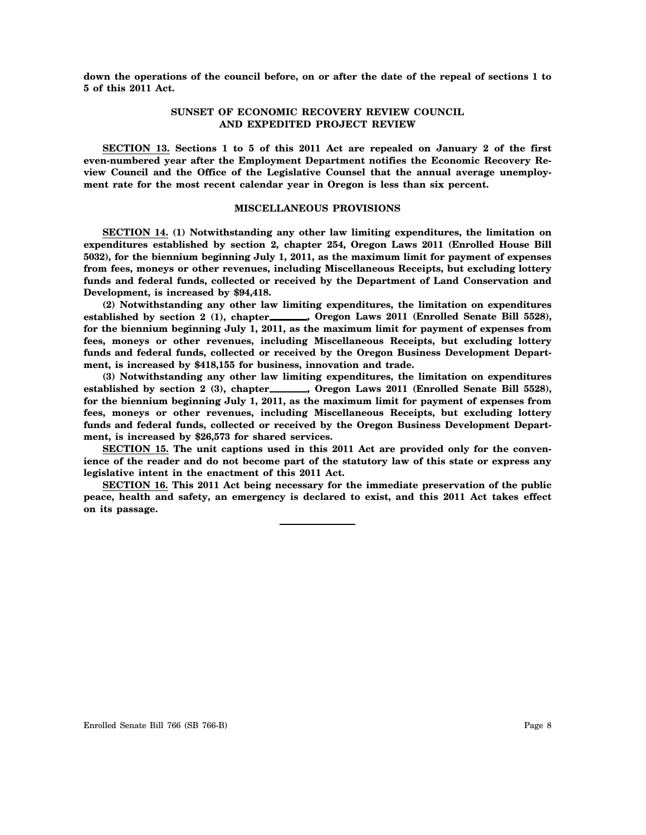**down the operations of the council before, on or after the date of the repeal of sections 1 to 5 of this 2011 Act.**

# **SUNSET OF ECONOMIC RECOVERY REVIEW COUNCIL AND EXPEDITED PROJECT REVIEW**

**SECTION 13. Sections 1 to 5 of this 2011 Act are repealed on January 2 of the first even-numbered year after the Employment Department notifies the Economic Recovery Review Council and the Office of the Legislative Counsel that the annual average unemployment rate for the most recent calendar year in Oregon is less than six percent.**

#### **MISCELLANEOUS PROVISIONS**

**SECTION 14. (1) Notwithstanding any other law limiting expenditures, the limitation on expenditures established by section 2, chapter 254, Oregon Laws 2011 (Enrolled House Bill 5032), for the biennium beginning July 1, 2011, as the maximum limit for payment of expenses from fees, moneys or other revenues, including Miscellaneous Receipts, but excluding lottery funds and federal funds, collected or received by the Department of Land Conservation and Development, is increased by \$94,418.**

**(2) Notwithstanding any other law limiting expenditures, the limitation on expenditures** established by section 2 (1), chapter\_\_\_\_\_\_, Oregon Laws 2011 (Enrolled Senate Bill 5528), **for the biennium beginning July 1, 2011, as the maximum limit for payment of expenses from fees, moneys or other revenues, including Miscellaneous Receipts, but excluding lottery funds and federal funds, collected or received by the Oregon Business Development Department, is increased by \$418,155 for business, innovation and trade.**

**(3) Notwithstanding any other law limiting expenditures, the limitation on expenditures** established by section 2 (3), chapter\_\_\_\_\_\_, Oregon Laws 2011 (Enrolled Senate Bill 5528), **for the biennium beginning July 1, 2011, as the maximum limit for payment of expenses from fees, moneys or other revenues, including Miscellaneous Receipts, but excluding lottery funds and federal funds, collected or received by the Oregon Business Development Department, is increased by \$26,573 for shared services.**

**SECTION 15. The unit captions used in this 2011 Act are provided only for the convenience of the reader and do not become part of the statutory law of this state or express any legislative intent in the enactment of this 2011 Act.**

**SECTION 16. This 2011 Act being necessary for the immediate preservation of the public peace, health and safety, an emergency is declared to exist, and this 2011 Act takes effect on its passage.**